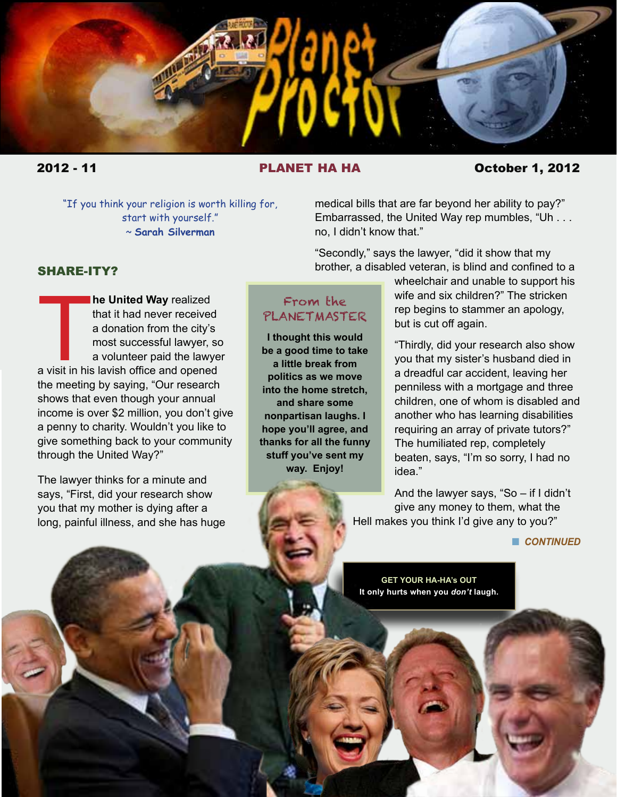

## 2012 - 11 PLANET HA HA October 1, 2012

"If you think your religion is worth killing for, start with yourself." ~ **Sarah Silverman**

medical bills that are far beyond her ability to pay?" Embarrassed, the United Way rep mumbles, "Uh . . . no, I didn't know that."

"Secondly," says the lawyer, "did it show that my brother, a disabled veteran, is blind and confined to a

## SHARE-ITY?

**Example 15 Separate Contract Control of the United Way** realized<br>that it had never received<br>a donation from the city's<br>most successful lawyer, so<br>a volunteer paid the lawye<br>a visit in his lavish office and opened **he United Way** realized that it had never received a donation from the city's most successful lawyer, so a volunteer paid the lawyer the meeting by saying, "Our research shows that even though your annual income is over \$2 million, you don't give a penny to charity. Wouldn't you like to give something back to your community through the United Way?"

The lawyer thinks for a minute and says, "First, did your research show you that my mother is dying after a long, painful illness, and she has huge

> THROUGHOUT THE 'PLANET, 'PLANET, 'PLANET, 'PLANET, 'PLANET, 'PLANET, 'PLANET, 'PLANET, 'PLANET, 'PLANET, 'PLANET, 'PLANET, 'PLANET, 'PLANET, 'PLANET, 'PLANET, 'PLANET, 'PLANET, 'PLANET, 'PLANET, 'PLANET, 'PLANET, 'PLANET, BOLD, DARK RED TYPE OPENS A RELATED INTERNET LINK.

# From the PLANETMASTER

**I thought this would be a good time to take a little break from politics as we move into the home stretch, and share some nonpartisan laughs. I hope you'll agree, and thanks for all the funny stuff you've sent my way. Enjoy!**

wheelchair and unable to support his wife and six children?" The stricken rep begins to stammer an apology, but is cut off again.

"Thirdly, did your research also show you that my sister's husband died in a dreadful car accident, leaving her penniless with a mortgage and three children, one of whom is disabled and another who has learning disabilities requiring an array of private tutors?" The humiliated rep, completely beaten, says, "I'm so sorry, I had no idea."

And the lawyer says, "So – if I didn't give any money to them, what the Hell makes you think I'd give any to you?"

#### **n** *CONTINUED*

**GET YOUR HA-HA's OUT It only hurts when you** *don't* **laugh.**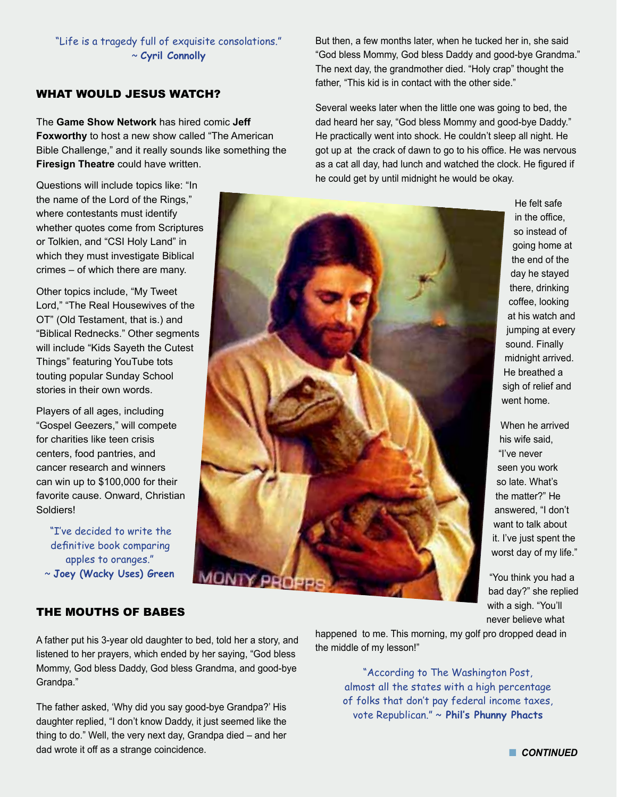"Life is a tragedy full of exquisite consolations." ~ **Cyril Connolly**

## WHAT WOULD JESUS WATCH?

The **Game Show Network** has hired comic **Jeff Foxworthy** to host a new show called "The American Bible Challenge," and it really sounds like something the **Firesign Theatre** could have written.

Questions will include topics like: "In the name of the Lord of the Rings," where contestants must identify whether quotes come from Scriptures or Tolkien, and "CSI Holy Land" in which they must investigate Biblical crimes – of which there are many.

Other topics include, "My Tweet Lord," "The Real Housewives of the OT" (Old Testament, that is.) and "Biblical Rednecks." Other segments will include "Kids Sayeth the Cutest Things" featuring YouTube tots touting popular Sunday School stories in their own words.

Players of all ages, including "Gospel Geezers," will compete for charities like teen crisis centers, food pantries, and cancer research and winners can win up to \$100,000 for their favorite cause. Onward, Christian Soldiers!

"I've decided to write the definitive book comparing apples to oranges." ~ **Joey (Wacky Uses) Green** But then, a few months later, when he tucked her in, she said "God bless Mommy, God bless Daddy and good-bye Grandma." The next day, the grandmother died. "Holy crap" thought the father, "This kid is in contact with the other side."

Several weeks later when the little one was going to bed, the dad heard her say, "God bless Mommy and good-bye Daddy." He practically went into shock. He couldn't sleep all night. He got up at the crack of dawn to go to his office. He was nervous as a cat all day, had lunch and watched the clock. He figured if he could get by until midnight he would be okay.



He felt safe in the office, so instead of going home at the end of the day he stayed there, drinking coffee, looking at his watch and jumping at every sound. Finally midnight arrived. He breathed a sigh of relief and went home.

When he arrived his wife said, "I've never seen you work so late. What's the matter?" He answered, "I don't want to talk about it. I've just spent the worst day of my life."

"You think you had a bad day?" she replied with a sigh. "You'll never believe what

## THE MOUTHS OF BABES

A father put his 3-year old daughter to bed, told her a story, and listened to her prayers, which ended by her saying, "God bless Mommy, God bless Daddy, God bless Grandma, and good-bye Grandpa."

The father asked, 'Why did you say good-bye Grandpa?' His daughter replied, "I don't know Daddy, it just seemed like the thing to do." Well, the very next day, Grandpa died – and her dad wrote it off as a strange coincidence.

happened to me. This morning, my golf pro dropped dead in the middle of my lesson!"

> "According to The Washington Post, almost all the states with a high percentage of folks that don't pay federal income taxes, vote Republican." ~ **Phil's Phunny Phacts**

**n** CONTINUED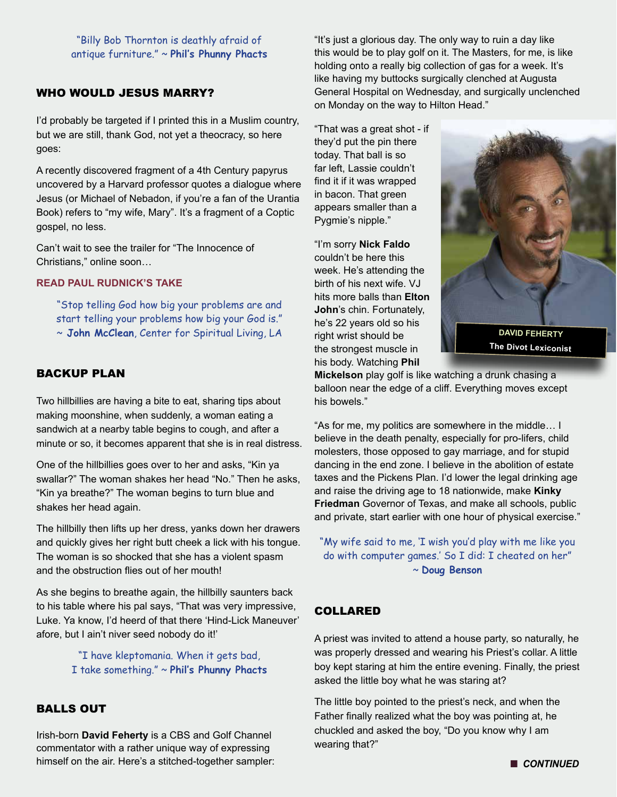"Billy Bob Thornton is deathly afraid of antique furniture." ~ **Phil's Phunny Phacts**

#### WHO WOULD JESUS MARRY?

I'd probably be targeted if I printed this in a Muslim country, but we are still, thank God, not yet a theocracy, so here goes:

A recently discovered fragment of a 4th Century papyrus uncovered by a Harvard professor quotes a dialogue where Jesus (or Michael of Nebadon, if you're a fan of the Urantia Book) refers to "my wife, Mary". It's a fragment of a Coptic gospel, no less.

Can't wait to see the trailer for "The Innocence of Christians," online soon…

#### **[READ PAUL RUDNICK'S TAKE](http://www.newyorker.com/humor/2012/10/08/121008sh_shouts_rudnick?currentPage=1 )**

"Stop telling God how big your problems are and start telling your problems how big your God is." ~ **John McClean**, Center for Spiritual Living, LA

#### BACKUP PLAN

Two hillbillies are having a bite to eat, sharing tips about making moonshine, when suddenly, a woman eating a sandwich at a nearby table begins to cough, and after a minute or so, it becomes apparent that she is in real distress.

One of the hillbillies goes over to her and asks, "Kin ya swallar?" The woman shakes her head "No." Then he asks, "Kin ya breathe?" The woman begins to turn blue and shakes her head again.

The hillbilly then lifts up her dress, yanks down her drawers and quickly gives her right butt cheek a lick with his tongue. The woman is so shocked that she has a violent spasm and the obstruction flies out of her mouth!

As she begins to breathe again, the hillbilly saunters back to his table where his pal says, "That was very impressive, Luke. Ya know, I'd heerd of that there 'Hind-Lick Maneuver' afore, but I ain't niver seed nobody do it!'

> "I have kleptomania. When it gets bad, I take something." ~ **Phil's Phunny Phacts**

# BALLS OUT

Irish-born **David Feherty** is a CBS and Golf Channel commentator with a rather unique way of expressing himself on the air. Here's a stitched-together sampler: "It's just a glorious day. The only way to ruin a day like this would be to play golf on it. The Masters, for me, is like holding onto a really big collection of gas for a week. It's like having my buttocks surgically clenched at Augusta General Hospital on Wednesday, and surgically unclenched on Monday on the way to Hilton Head."

"That was a great shot - if they'd put the pin there today. That ball is so far left, Lassie couldn't find it if it was wrapped in bacon. That green appears smaller than a Pygmie's nipple."

"I'm sorry **Nick Faldo** couldn't be here this week. He's attending the birth of his next wife. VJ hits more balls than **Elton John**'s chin. Fortunately, he's 22 years old so his right wrist should be the strongest muscle in his body. Watching **Phil** 



**The Divot Lexiconist**

**Mickelson** play golf is like watching a drunk chasing a balloon near the edge of a cliff. Everything moves except his bowels."

"As for me, my politics are somewhere in the middle… I believe in the death penalty, especially for pro-lifers, child molesters, those opposed to gay marriage, and for stupid dancing in the end zone. I believe in the abolition of estate taxes and the Pickens Plan. I'd lower the legal drinking age and raise the driving age to 18 nationwide, make **Kinky Friedman** Governor of Texas, and make all schools, public and private, start earlier with one hour of physical exercise."

"My wife said to me, 'I wish you'd play with me like you do with computer games.' So I did: I cheated on her" ~ **Doug Benson** 

#### COLLARED

A priest was invited to attend a house party, so naturally, he was properly dressed and wearing his Priest's collar. A little boy kept staring at him the entire evening. Finally, the priest asked the little boy what he was staring at?

The little boy pointed to the priest's neck, and when the Father finally realized what the boy was pointing at, he chuckled and asked the boy, "Do you know why I am wearing that?"